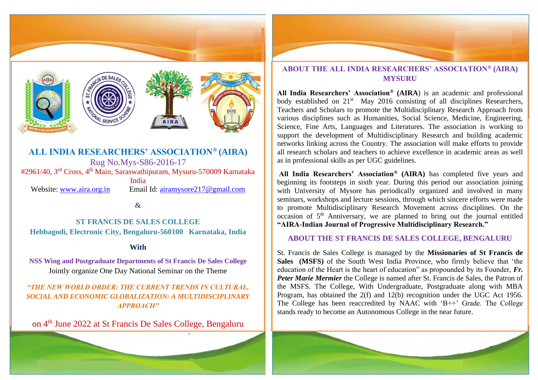

**ALL INDIA RESEARCHERS' ASSOCIATION® (AIRA)** Rug No.Mys-S86-2016-17 #2961/40, 3rd Cross, 4th Main, Saraswathipuram, Mysuru-570009 Karnataka India Website: [www.aira.org.in](http://www.aira.org.in/) Email Id: [airamysore217@gmail.com](mailto:airamysore217@gmail.com)

&

**ST FRANCIS DE SALES COLLEGE Hebbagodi, Electronic City, Bengaluru-560100 Karnataka, India**

#### **With**

**NSS Wing and Postgraduate Departments of St Francis De Sales College** Jointly organize One Day National Seminar on the Theme

*"THE NEW WORLD ORDER: THE CURRENT TRENDS IN CULTURAL, SOCIAL AND ECONOMIC GLOBALIZATION: A MULTIDISCIPLINARY APPROACH"*

on 4th June 2022 at St Francis De Sales College, Bengaluru



## **ABOUT THE ALL INDIA RESEARCHERS' ASSOCIATION® (AIRA) MYSURU**

**All India Researchers' Association® (AIRA**) is an academic and professional body established on 21<sup>st</sup> May 2016 consisting of all disciplines Researchers, Teachers and Scholars to promote the Multidisciplinary Research Approach from various disciplines such as Humanities, Social Science, Medicine, Engineering, Science, Fine Arts, Languages and Literatures. The association is working to support the development of Multidisciplinary Research and building academic networks linking across the Country. The association will make efforts to provide all research scholars and teachers to achieve excellence in academic areas as well as in professional skills as per UGC guidelines.

**All India Researchers' Association® (AIRA)** has completed five years and beginning its footsteps in sixth year. During this period our association joining with University of Mysore has periodically organized and involved in many seminars, workshops and lecture sessions, through which sincere efforts were made to promote Multidisciplinary Research Movement across disciplines. On the occasion of  $5<sup>th</sup>$  Anniversary, we are planned to bring out the journal entitled **"AIRA-Indian Journal of Progressive Multidisciplinary Research."** 

### **ABOUT THE ST FRANCIS DE SALES COLLEGE, BENGALURU**

St. Francis de Sales College is managed by the **Missionaries of St Francis de Sales (MSFS)** of the South West India Province, who firmly believe that 'the education of the Heart is the heart of education" as propounded by its Founder, *Fr. Peter Marie Mermier* the College is named after St. Francis de Sales, the Patron of the MSFS. The College, With Undergraduate, Postgraduate along with MBA Program, has obtained the 2(f) and 12(b) recognition under the UGC Act 1956. The College has been reaccredited by NAAC with 'B++' Grade. The College stands ready to become an Autonomous College in the near future.

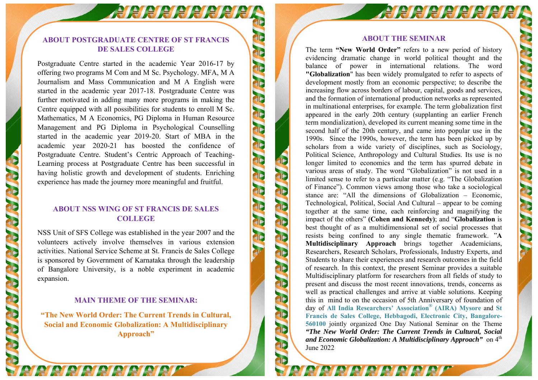# **ABOUT POSTGRADUATE CENTRE OF ST FRANCIS DE SALES COLLEGE**

**ABRIARRIARIA** 

TIE

E C E

**FIE** 

PIP

TIE

PIP

Postgraduate Centre started in the academic Year 2016-17 by offering two programs M Com and M Sc. Psychology. MFA, M A Journalism and Mass Communication and M A English were started in the academic year 2017-18. Postgraduate Centre was further motivated in adding many more programs in making the Centre equipped with all possibilities for students to enroll M Sc. Mathematics, M A Economics, PG Diploma in Human Resource Management and PG Diploma in Psychological Counselling started in the academic year 2019-20. Start of MBA in the academic year 2020-21 has boosted the confidence of Postgraduate Centre. Student's Centric Approach of Teaching-Learning process at Postgraduate Centre has been successful in having holistic growth and development of students. Enriching experience has made the journey more meaningful and fruitful.

## **ABOUT NSS WING OF ST FRANCIS DE SALES COLLEGE**

NSS Unit of SFS College was established in the year 2007 and the volunteers actively involve themselves in various extension activities. National Service Scheme at St. Francis de Sales College is sponsored by Government of Karnataka through the leadership of Bangalore University, is a noble experiment in academic expansion.

## **MAIN THEME OF THE SEMINAR:**

**"The New World Order: The Current Trends in Cultural, Social and Economic Globalization: A Multidisciplinary Approach"** 

e le le le le le le le le le

#### **ABOUT THE SEMINAR**

**ABRIERE RIEIEN** 

PIP

TE

PIP

TIP

TIP

PIP

T

PIP

The term **"New World Order"** refers to a new period of history evidencing dramatic change in world political thought and the balance of power in international relations. The word **"Globalization**" has been widely promulgated to refer to aspects of development mostly from an economic perspective; to describe the increasing flow across borders of labour, capital, goods and services, and the formation of international production networks as represented in multinational enterprises, for example. The term globalization first appeared in the early 20th century (supplanting an earlier French term mondialization), developed its current meaning some time in the second half of the 20th century, and came into popular use in the 1990s. Since the 1990s, however, the term has been picked up by scholars from a wide variety of disciplines, such as Sociology, Political Science, Anthropology and Cultural Studies. Its use is no longer limited to economics and the term has spurred debate in various areas of study. The word "Globalization" is not used in a limited sense to refer to a particular matter (e.g. "The Globalization of Finance"). Common views among those who take a sociological stance are: "All the dimensions of Globalization – Economic, Technological, Political, Social And Cultural – appear to be coming together at the same time, each reinforcing and magnifying the impact of the others" **(Cohen and Kennedy)**; and "**Globalization** is best thought of as a multidimensional set of social processes that resists being confined to any single thematic framework. "**A Multidisciplinary Approach** brings together Academicians, Researchers, Research Scholars, Professionals, Industry Experts, and Students to share their experiences and research outcomes in the field of research. In this context, the present Seminar provides a suitable Multidisciplinary platform for researchers from all fields of study to present and discuss the most recent innovations, trends, concerns as well as practical challenges and arrive at viable solutions. Keeping this in mind to on the occasion of 5th Anniversary of foundation of day of **All India Researchers' Association ® (AIRA) Mysore** and **St Francis de Sales College, Hebbagodi, Electronic City, Bangalore-560100** jointly organized One Day National Seminar on the Theme *"The New World Order: The Current Trends in Cultural, Social*  and Economic Globalization: A Multidisciplinary Approach" on 4<sup>th</sup> June 2022

e regere e reger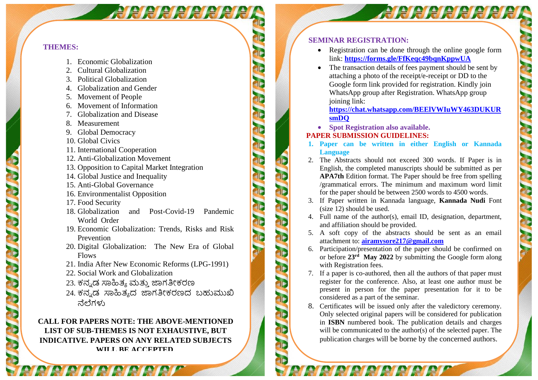## **THEMES:**

- 1. Economic Globalization
- 2. Cultural Globalization
- 3. Political Globalization
- 4. Globalization and Gender
- 5. Movement of People
- 6. Movement of Information
- 7. Globalization and Disease
- 8. Measurement
- 9. Global Democracy
- 10. Global Civics
- 11. International Cooperation
- 12. Anti-Globalization Movement
- 13. Opposition to Capital Market Integration
- 14. Global Justice and Inequality
- 15. Anti-Global Governance
- 16. Environmentalist Opposition
- 17. Food Security
- 18. Globalization and Post-Covid-19 Pandemic World Order

*RICICICICIATE* 

- 19. Economic Globalization: Trends, Risks and Risk Prevention
- 20. Digital Globalization: The New Era of Global Flows
- 21. India After New Economic Reforms (LPG-1991)
- 22. Social Work and Globalization

e regere e reger

- 23. ಕನ್ನ ಡ ಸಾಹಿತ್ಯ ಮತ್ತು ಜಾಗತೀಕರಣ
- 24. ಕನ್ನಡ ಸಾಹಿತ್ಯದ ಜಾಗತೀಕರಣದ ಬಹುಮುಖಿ ನೆಲೆಗಳು

# **CALL FOR PAPERS NOTE: THE ABOVE-MENTIONED LIST OF SUB-THEMES IS NOT EXHAUSTIVE, BUT INDICATIVE. PAPERS ON ANY RELATED SUBJECTS WILL BE ACCEPTED.**

### **SEMINAR REGISTRATION:**

• Registration can be done through the online google form link: **<https://forms.gle/FfKeqc49bqnKppwUA>**

**APRIARIARE** 

<sup>1</sup>IP

PIE

PIP

TIP

PIE

TIP

T

TIE

<sup>2</sup>IF

• The transaction details of fees payment should be sent by attaching a photo of the receipt/e-receipt or DD to the Google form link provided for registration. Kindly join WhatsApp group after Registration. WhatsApp group joining link:

## **[https://chat.whatsapp.com/BEElVWIuWY463DUKUR](https://chat.whatsapp.com/BEElVWIuWY463DUKURsmDQ) [smDQ](https://chat.whatsapp.com/BEElVWIuWY463DUKURsmDQ)**

• **Spot Registration also available.**

## **PAPER SUBMISSION GUIDELINES:**

**FIP** 

<sup>2</sup>IP

**FIF** 

**FIF** 

- **1. Paper can be written in either English or Kannada Language**
- 2. The Abstracts should not exceed 300 words. If Paper is in English, the completed manuscripts should be submitted as per **APA7th** Edition format. The Paper should be free from spelling /grammatical errors. The minimum and maximum word limit for the paper should be between 2500 words to 4500 words.
- 3. If Paper written in Kannada language, **Kannada Nudi** Font (size 12) should be used.
- 4. Full name of the author(s), email ID, designation, department, and affiliation should be provided.
- 5. A soft copy of the abstracts should be sent as an email attachment to: **[airamysore217@gmail.com](mailto:airamysore217@gmail.com)**
- 6. Participation/presentation of the paper should be confirmed on or before **23rd May 2022** by submitting the Google form along with Registration fees.
- 7. If a paper is co-authored, then all the authors of that paper must register for the conference. Also, at least one author must be present in person for the paper presentation for it to be considered as a part of the seminar.
- 8. Certificates will be issued only after the valedictory ceremony. Only selected original papers will be considered for publication in **ISBN** numbered book. The publication details and charges will be communicated to the author(s) of the selected paper. The publication charges will be borne by the concerned authors.

re retenenen erem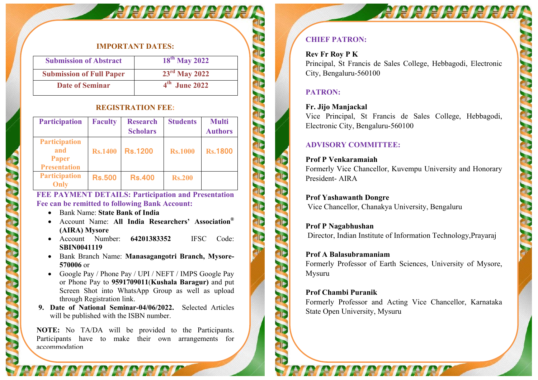#### **IMPORTANT DATES:**

*<i>ARRRRRRRRR* 

| <b>Submission of Abstract</b>   | $18^{th}$ May 2022 |
|---------------------------------|--------------------|
| <b>Submission of Full Paper</b> | $23rd$ May 2022    |
| <b>Date of Seminar</b>          | $4th$ June 2022    |

#### **REGISTRATION FEE:**

| <b>Participation</b>                                               | <b>Faculty</b> | <b>Research</b><br><b>Scholars</b> | <b>Students</b> | <b>Multi</b><br><b>Authors</b> |
|--------------------------------------------------------------------|----------------|------------------------------------|-----------------|--------------------------------|
| <b>Participation</b><br>and<br><b>Paper</b><br><b>Presentation</b> | <b>Rs.1400</b> | <b>Rs.1200</b>                     | <b>Rs.1000</b>  | <b>Rs.1800</b>                 |
| <b>Participation</b><br>Only                                       | <b>Rs.500</b>  | <b>Rs.400</b>                      | <b>Rs.200</b>   |                                |

**FEE PAYMENT DETAILS: Participation and Presentation Fee can be remitted to following Bank Account:** 

- Bank Name: **State Bank of India**
- Account Name: **All India Researchers' Association® (AIRA) Mysore**
- Account Number: **64201383352** IFSC Code: **SBIN0041119**
- Bank Branch Name: **Manasagangotri Branch, Mysore-570006** or
- Google Pay / Phone Pay / UPI / NEFT / IMPS Google Pay or Phone Pay to **9591709011**(**Kushala Baragur)** and put Screen Shot into WhatsApp Group as well as upload through Registration link.
- **9. Date of National Seminar-04/06/2022.** Selected Articles will be published with the ISBN number.

**NOTE:** No TA/DA will be provided to the Participants. Participants have to make their own arrangements for accommodation

*REPEREEFE* 

# **CHIEF PATRON:**

### **Rev Fr Roy P K**

Principal, St Francis de Sales College, Hebbagodi, Electronic City, Bengaluru-560100

### **PATRON:**

PIP

PIP

**AIP** 

PIP

<sup>2</sup>IP

PIE

**FIF** 

#### **Fr. Jijo Manjackal**

Vice Principal, St Francis de Sales College, Hebbagodi, Electronic City, Bengaluru-560100

## **ADVISORY COMMITTEE:**

# **Prof P Venkaramaiah**

Formerly Vice Chancellor, Kuvempu University and Honorary President- AIRA

**Prof Yashawanth Dongre**  Vice Chancellor, Chanakya University, Bengaluru

**Prof P Nagabhushan**  Director, Indian Institute of Information Technology,Prayaraj

**Prof A Balasubramaniam** Formerly Professor of Earth Sciences, University of Mysore, Mysuru

### **Prof Chambi Puranik**

Formerly Professor and Acting Vice Chancellor, Karnataka State Open University, Mysuru

re retetetetetetet